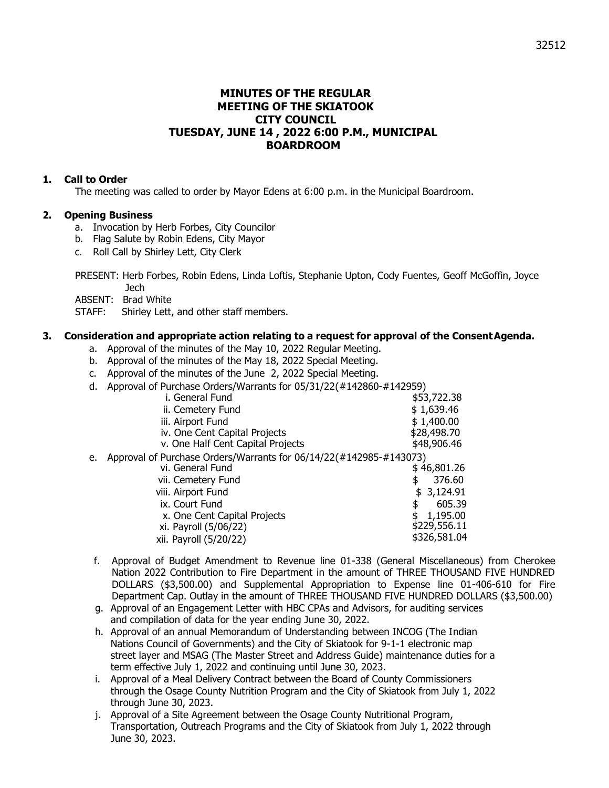# **MINUTES OF THE REGULAR MEETING OF THE SKIATOOK CITY COUNCIL TUESDAY, JUNE 14 , 2022 6:00 P.M., MUNICIPAL BOARDROOM**

### **1. Call to Order**

The meeting was called to order by Mayor Edens at 6:00 p.m. in the Municipal Boardroom.

### **2. Opening Business**

- a. Invocation by Herb Forbes, City Councilor
- b. Flag Salute by Robin Edens, City Mayor
- c. Roll Call by Shirley Lett, City Clerk

PRESENT: Herb Forbes, Robin Edens, Linda Loftis, Stephanie Upton, Cody Fuentes, Geoff McGoffin, Joyce Jech

ABSENT: Brad White

STAFF: Shirley Lett, and other staff members.

### **3. Consideration and appropriate action relating to a request for approval of the ConsentAgenda.**

- a. Approval of the minutes of the May 10, 2022 Regular Meeting.
- b. Approval of the minutes of the May 18, 2022 Special Meeting.
- c. Approval of the minutes of the June 2, 2022 Special Meeting.
- d. Approval of Purchase Orders/Warrants for 05/31/22(#142860-#142959)

|    | i. General Fund                                                    | \$53,722.38  |
|----|--------------------------------------------------------------------|--------------|
|    | ii. Cemetery Fund                                                  | \$1,639.46   |
|    | iii. Airport Fund                                                  | \$1,400.00   |
|    | iv. One Cent Capital Projects                                      | \$28,498.70  |
|    | v. One Half Cent Capital Projects                                  | \$48,906.46  |
| e. | Approval of Purchase Orders/Warrants for 06/14/22(#142985-#143073) |              |
|    | vi. General Fund                                                   | \$46,801.26  |
|    | vii. Cemetery Fund                                                 | 376.60       |
|    | viii. Airport Fund                                                 | \$3,124.91   |
|    | ix. Court Fund                                                     | 605.39<br>\$ |
|    | x. One Cent Capital Projects                                       | 1,195.00     |
|    | xi. Payroll (5/06/22)                                              | \$229,556.11 |
|    | xii. Payroll (5/20/22)                                             | \$326,581.04 |
|    |                                                                    |              |

- f. Approval of Budget Amendment to Revenue line 01-338 (General Miscellaneous) from Cherokee Nation 2022 Contribution to Fire Department in the amount of THREE THOUSAND FIVE HUNDRED DOLLARS (\$3,500.00) and Supplemental Appropriation to Expense line 01-406-610 for Fire Department Cap. Outlay in the amount of THREE THOUSAND FIVE HUNDRED DOLLARS (\$3,500.00)
- g. Approval of an Engagement Letter with HBC CPAs and Advisors, for auditing services and compilation of data for the year ending June 30, 2022.
- h. Approval of an annual Memorandum of Understanding between INCOG (The Indian Nations Council of Governments) and the City of Skiatook for 9-1-1 electronic map street layer and MSAG (The Master Street and Address Guide) maintenance duties for a term effective July 1, 2022 and continuing until June 30, 2023.
- i. Approval of a Meal Delivery Contract between the Board of County Commissioners through the Osage County Nutrition Program and the City of Skiatook from July 1, 2022 through June 30, 2023.
- j. Approval of a Site Agreement between the Osage County Nutritional Program, Transportation, Outreach Programs and the City of Skiatook from July 1, 2022 through June 30, 2023.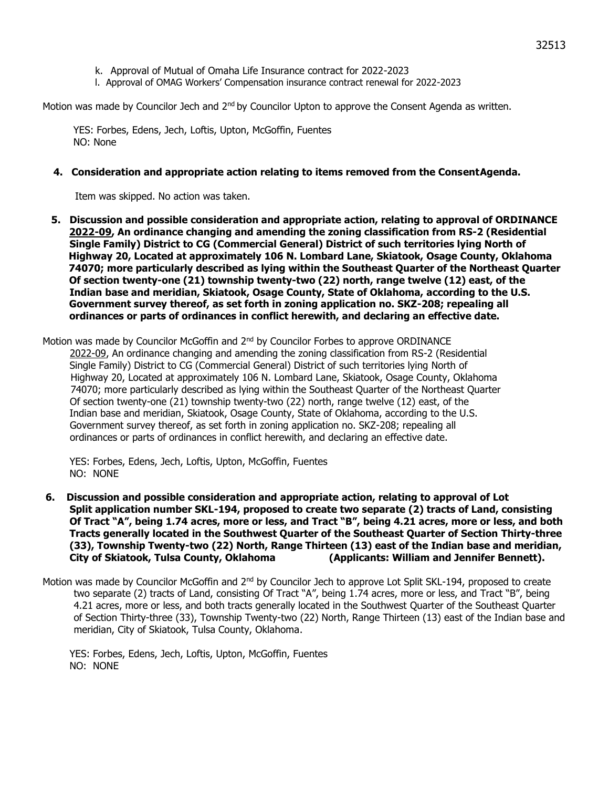- k. Approval of Mutual of Omaha Life Insurance contract for 2022-2023
- l. Approval of OMAG Workers' Compensation insurance contract renewal for 2022-2023

Motion was made by Councilor Jech and 2<sup>nd</sup> by Councilor Upton to approve the Consent Agenda as written.

YES: Forbes, Edens, Jech, Loftis, Upton, McGoffin, Fuentes NO: None

### **4. Consideration and appropriate action relating to items removed from the ConsentAgenda.**

Item was skipped. No action was taken.

 **5. Discussion and possible consideration and appropriate action, relating to approval of ORDINANCE 2022-09, An ordinance changing and amending the zoning classification from RS-2 (Residential Single Family) District to CG (Commercial General) District of such territories lying North of Highway 20, Located at approximately 106 N. Lombard Lane, Skiatook, Osage County, Oklahoma 74070; more particularly described as lying within the Southeast Quarter of the Northeast Quarter Of section twenty-one (21) township twenty-two (22) north, range twelve (12) east, of the Indian base and meridian, Skiatook, Osage County, State of Oklahoma, according to the U.S. Government survey thereof, as set forth in zoning application no. SKZ-208; repealing all ordinances or parts of ordinances in conflict herewith, and declaring an effective date.**

Motion was made by Councilor McGoffin and 2<sup>nd</sup> by Councilor Forbes to approve ORDINANCE 2022-09, An ordinance changing and amending the zoning classification from RS-2 (Residential Single Family) District to CG (Commercial General) District of such territories lying North of Highway 20, Located at approximately 106 N. Lombard Lane, Skiatook, Osage County, Oklahoma 74070; more particularly described as lying within the Southeast Quarter of the Northeast Quarter Of section twenty-one (21) township twenty-two (22) north, range twelve (12) east, of the Indian base and meridian, Skiatook, Osage County, State of Oklahoma, according to the U.S. Government survey thereof, as set forth in zoning application no. SKZ-208; repealing all ordinances or parts of ordinances in conflict herewith, and declaring an effective date.

YES: Forbes, Edens, Jech, Loftis, Upton, McGoffin, Fuentes NO: NONE

- **6. Discussion and possible consideration and appropriate action, relating to approval of Lot Split application number SKL-194, proposed to create two separate (2) tracts of Land, consisting Of Tract "A", being 1.74 acres, more or less, and Tract "B", being 4.21 acres, more or less, and both Tracts generally located in the Southwest Quarter of the Southeast Quarter of Section Thirty-three (33), Township Twenty-two (22) North, Range Thirteen (13) east of the Indian base and meridian, City of Skiatook, Tulsa County, Oklahoma (Applicants: William and Jennifer Bennett).**
- Motion was made by Councilor McGoffin and 2<sup>nd</sup> by Councilor Jech to approve Lot Split SKL-194, proposed to create two separate (2) tracts of Land, consisting Of Tract "A", being 1.74 acres, more or less, and Tract "B", being 4.21 acres, more or less, and both tracts generally located in the Southwest Quarter of the Southeast Quarter of Section Thirty-three (33), Township Twenty-two (22) North, Range Thirteen (13) east of the Indian base and meridian, City of Skiatook, Tulsa County, Oklahoma.

YES: Forbes, Edens, Jech, Loftis, Upton, McGoffin, Fuentes NO: NONE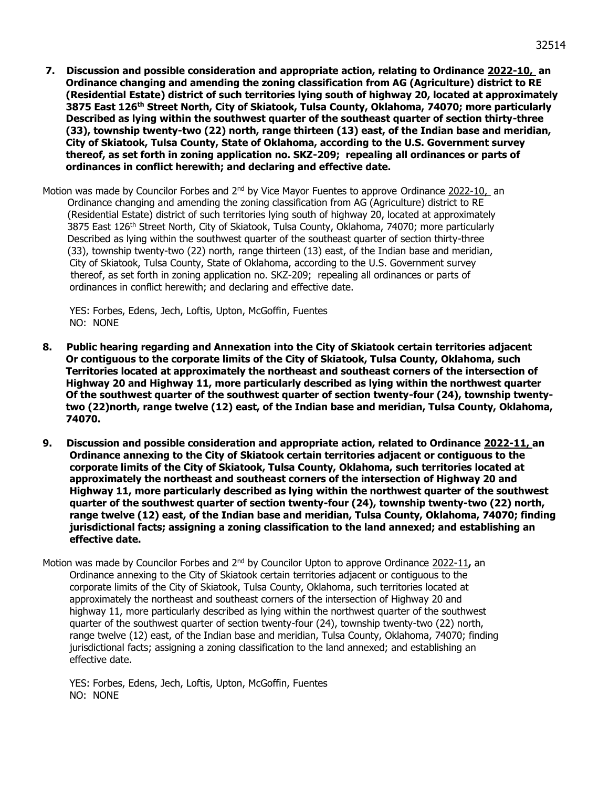- **7. Discussion and possible consideration and appropriate action, relating to Ordinance 2022-10, an Ordinance changing and amending the zoning classification from AG (Agriculture) district to RE (Residential Estate) district of such territories lying south of highway 20, located at approximately 3875 East 126th Street North, City of Skiatook, Tulsa County, Oklahoma, 74070; more particularly Described as lying within the southwest quarter of the southeast quarter of section thirty-three (33), township twenty-two (22) north, range thirteen (13) east, of the Indian base and meridian, City of Skiatook, Tulsa County, State of Oklahoma, according to the U.S. Government survey thereof, as set forth in zoning application no. SKZ-209; repealing all ordinances or parts of ordinances in conflict herewith; and declaring and effective date.**
- Motion was made by Councilor Forbes and 2<sup>nd</sup> by Vice Mayor Fuentes to approve Ordinance 2022-10, an Ordinance changing and amending the zoning classification from AG (Agriculture) district to RE (Residential Estate) district of such territories lying south of highway 20, located at approximately 3875 East 126<sup>th</sup> Street North, City of Skiatook, Tulsa County, Oklahoma, 74070; more particularly Described as lying within the southwest quarter of the southeast quarter of section thirty-three (33), township twenty-two (22) north, range thirteen (13) east, of the Indian base and meridian, City of Skiatook, Tulsa County, State of Oklahoma, according to the U.S. Government survey thereof, as set forth in zoning application no. SKZ-209; repealing all ordinances or parts of ordinances in conflict herewith; and declaring and effective date.

YES: Forbes, Edens, Jech, Loftis, Upton, McGoffin, Fuentes NO: NONE

- **8. Public hearing regarding and Annexation into the City of Skiatook certain territories adjacent Or contiguous to the corporate limits of the City of Skiatook, Tulsa County, Oklahoma, such Territories located at approximately the northeast and southeast corners of the intersection of Highway 20 and Highway 11, more particularly described as lying within the northwest quarter Of the southwest quarter of the southwest quarter of section twenty-four (24), township twenty two (22)north, range twelve (12) east, of the Indian base and meridian, Tulsa County, Oklahoma, 74070.**
- **9. Discussion and possible consideration and appropriate action, related to Ordinance 2022-11, an Ordinance annexing to the City of Skiatook certain territories adjacent or contiguous to the corporate limits of the City of Skiatook, Tulsa County, Oklahoma, such territories located at approximately the northeast and southeast corners of the intersection of Highway 20 and Highway 11, more particularly described as lying within the northwest quarter of the southwest quarter of the southwest quarter of section twenty-four (24), township twenty-two (22) north, range twelve (12) east, of the Indian base and meridian, Tulsa County, Oklahoma, 74070; finding jurisdictional facts; assigning a zoning classification to the land annexed; and establishing an effective date.**
- Motion was made by Councilor Forbes and 2<sup>nd</sup> by Councilor Upton to approve Ordinance 2022-11, an Ordinance annexing to the City of Skiatook certain territories adjacent or contiguous to the corporate limits of the City of Skiatook, Tulsa County, Oklahoma, such territories located at approximately the northeast and southeast corners of the intersection of Highway 20 and highway 11, more particularly described as lying within the northwest quarter of the southwest quarter of the southwest quarter of section twenty-four (24), township twenty-two (22) north, range twelve (12) east, of the Indian base and meridian, Tulsa County, Oklahoma, 74070; finding jurisdictional facts; assigning a zoning classification to the land annexed; and establishing an effective date.

YES: Forbes, Edens, Jech, Loftis, Upton, McGoffin, Fuentes NO: NONE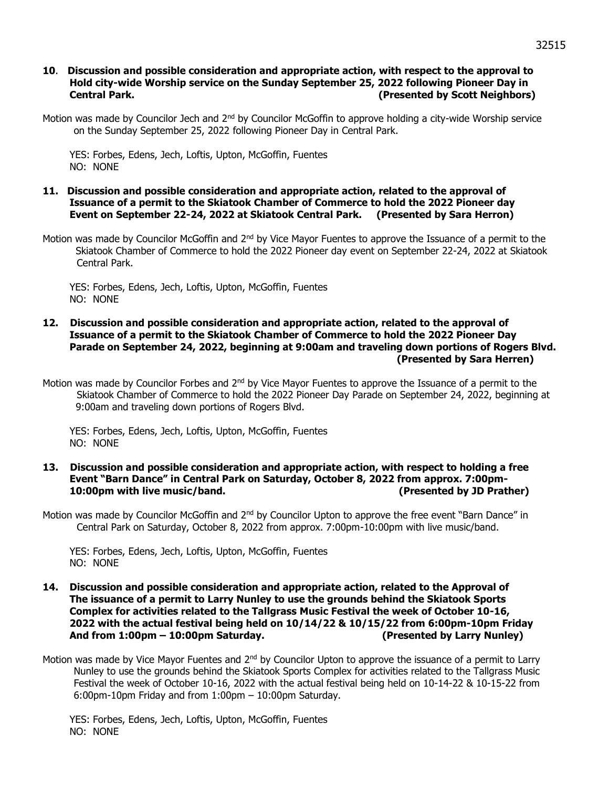## **10**. **Discussion and possible consideration and appropriate action, with respect to the approval to Hold city-wide Worship service on the Sunday September 25, 2022 following Pioneer Day in Central Park. (Presented by Scott Neighbors)**

Motion was made by Councilor Jech and 2<sup>nd</sup> by Councilor McGoffin to approve holding a city-wide Worship service on the Sunday September 25, 2022 following Pioneer Day in Central Park.

YES: Forbes, Edens, Jech, Loftis, Upton, McGoffin, Fuentes NO: NONE

#### **11. Discussion and possible consideration and appropriate action, related to the approval of Issuance of a permit to the Skiatook Chamber of Commerce to hold the 2022 Pioneer day Event on September 22-24, 2022 at Skiatook Central Park. (Presented by Sara Herron)**

Motion was made by Councilor McGoffin and 2<sup>nd</sup> by Vice Mayor Fuentes to approve the Issuance of a permit to the Skiatook Chamber of Commerce to hold the 2022 Pioneer day event on September 22-24, 2022 at Skiatook Central Park.

YES: Forbes, Edens, Jech, Loftis, Upton, McGoffin, Fuentes NO: NONE

#### **12. Discussion and possible consideration and appropriate action, related to the approval of Issuance of a permit to the Skiatook Chamber of Commerce to hold the 2022 Pioneer Day Parade on September 24, 2022, beginning at 9:00am and traveling down portions of Rogers Blvd. (Presented by Sara Herren)**

Motion was made by Councilor Forbes and  $2<sup>nd</sup>$  by Vice Mayor Fuentes to approve the Issuance of a permit to the Skiatook Chamber of Commerce to hold the 2022 Pioneer Day Parade on September 24, 2022, beginning at 9:00am and traveling down portions of Rogers Blvd.

YES: Forbes, Edens, Jech, Loftis, Upton, McGoffin, Fuentes NO: NONE

### **13. Discussion and possible consideration and appropriate action, with respect to holding a free Event "Barn Dance" in Central Park on Saturday, October 8, 2022 from approx. 7:00pm-10:00pm with live music/band. (Presented by JD Prather)**

Motion was made by Councilor McGoffin and 2<sup>nd</sup> by Councilor Upton to approve the free event "Barn Dance" in Central Park on Saturday, October 8, 2022 from approx. 7:00pm-10:00pm with live music/band.

YES: Forbes, Edens, Jech, Loftis, Upton, McGoffin, Fuentes NO: NONE

- **14. Discussion and possible consideration and appropriate action, related to the Approval of The issuance of a permit to Larry Nunley to use the grounds behind the Skiatook Sports Complex for activities related to the Tallgrass Music Festival the week of October 10-16, 2022 with the actual festival being held on 10/14/22 & 10/15/22 from 6:00pm-10pm Friday And from 1:00pm – 10:00pm Saturday. (Presented by Larry Nunley)**
- Motion was made by Vice Mayor Fuentes and 2<sup>nd</sup> by Councilor Upton to approve the issuance of a permit to Larry Nunley to use the grounds behind the Skiatook Sports Complex for activities related to the Tallgrass Music Festival the week of October 10-16, 2022 with the actual festival being held on 10-14-22 & 10-15-22 from 6:00pm-10pm Friday and from 1:00pm – 10:00pm Saturday.

YES: Forbes, Edens, Jech, Loftis, Upton, McGoffin, Fuentes NO: NONE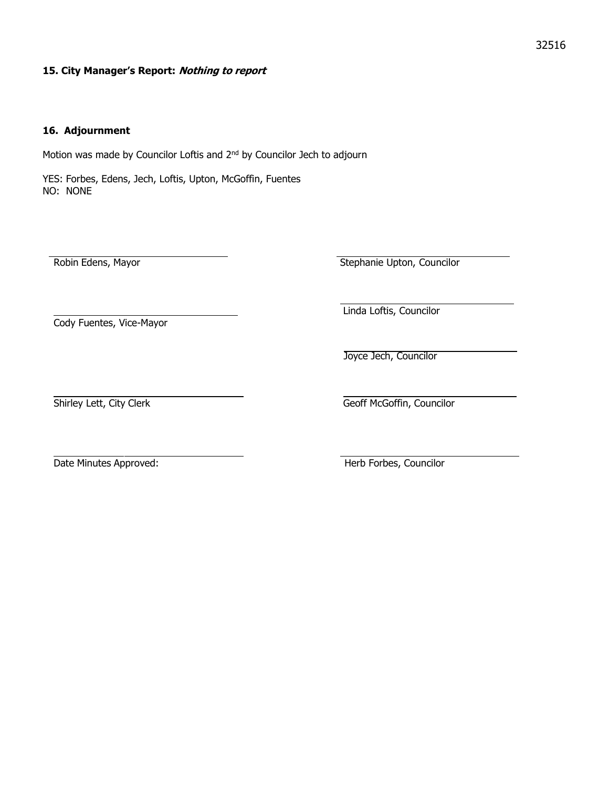### **15. City Manager's Report: Nothing to report**

### **16. Adjournment**

Motion was made by Councilor Loftis and 2<sup>nd</sup> by Councilor Jech to adjourn

YES: Forbes, Edens, Jech, Loftis, Upton, McGoffin, Fuentes NO: NONE

Robin Edens, Mayor **New York 1 Accord 2018** Stephanie Upton, Councilor

Cody Fuentes, Vice-Mayor

Linda Loftis, Councilor

Joyce Jech, Councilor

Shirley Lett, City Clerk Geoff McGoffin, Councilor

Date Minutes Approved: The Minutes Approved: The Minutes Approved: The Minutes Approved: The Minutes of Minutes Approved: The Minutes of Minutes Approved: The Minutes of Minutes Approved: The Minutes of Minutes Approved: T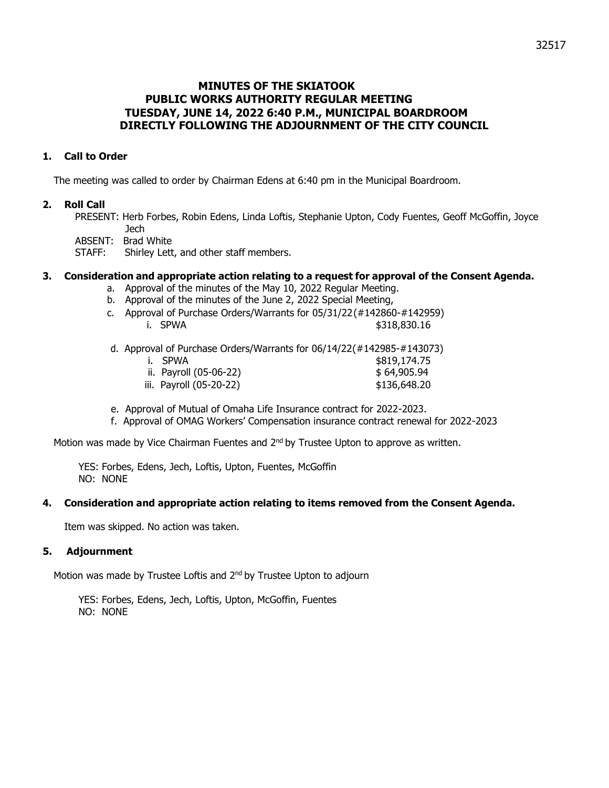# **MINUTES OF THE SKIATOOK PUBLIC WORKS AUTHORITY REGULAR MEETING TUESDAY, JUNE 14, 2022 6:40 P.M., MUNICIPAL BOARDROOM DIRECTLY FOLLOWING THE ADJOURNMENT OF THE CITY COUNCIL**

# **1. Call to Order**

The meeting was called to order by Chairman Edens at 6:40 pm in the Municipal Boardroom.

## **2. Roll Call**

PRESENT: Herb Forbes, Robin Edens, Linda Loftis, Stephanie Upton, Cody Fuentes, Geoff McGoffin, Joyce Jech

ABSENT: Brad White

STAFF: Shirley Lett, and other staff members.

## **3. Consideration and appropriate action relating to a request for approval of the Consent Agenda.**

- a. Approval of the minutes of the May 10, 2022 Regular Meeting.
- b. Approval of the minutes of the June 2, 2022 Special Meeting,
- c. Approval of Purchase Orders/Warrants for 05/31/22(#142860-#142959) i. SPWA \$318,830.16
- d. Approval of Purchase Orders/Warrants for 06/14/22(#142985-#143073)
	- i. SPWA  $$819,174.75$ ii. Payroll (05-06-22) \$ 64,905.94 iii. Payroll (05-20-22) \$136,648.20
- e. Approval of Mutual of Omaha Life Insurance contract for 2022-2023.
- f. Approval of OMAG Workers' Compensation insurance contract renewal for 2022-2023

Motion was made by Vice Chairman Fuentes and 2<sup>nd</sup> by Trustee Upton to approve as written.

YES: Forbes, Edens, Jech, Loftis, Upton, Fuentes, McGoffin NO: NONE

#### **4. Consideration and appropriate action relating to items removed from the Consent Agenda.**

Item was skipped. No action was taken.

## **5. Adjournment**

Motion was made by Trustee Loftis and 2<sup>nd</sup> by Trustee Upton to adjourn

YES: Forbes, Edens, Jech, Loftis, Upton, McGoffin, Fuentes NO: NONE